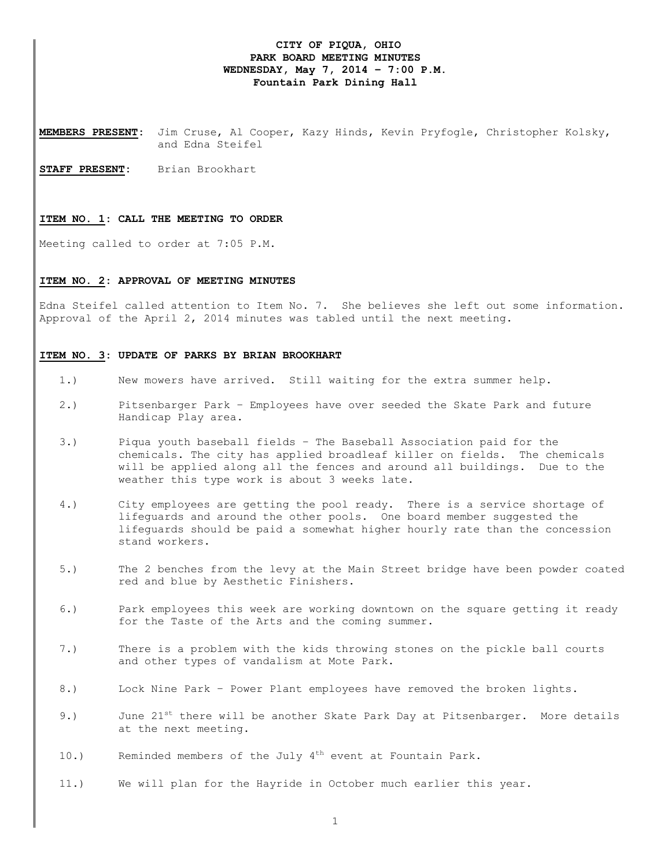# **CITY OF PIQUA, OHIO PARK BOARD MEETING MINUTES WEDNESDAY, May 7, 2014 – 7:00 P.M. Fountain Park Dining Hall**

**MEMBERS PRESENT:** Jim Cruse, Al Cooper, Kazy Hinds, Kevin Pryfogle, Christopher Kolsky, and Edna Steifel

**STAFF PRESENT:** Brian Brookhart

#### **ITEM NO. 1: CALL THE MEETING TO ORDER**

Meeting called to order at 7:05 P.M.

# **ITEM NO. 2: APPROVAL OF MEETING MINUTES**

Edna Steifel called attention to Item No. 7. She believes she left out some information. Approval of the April 2, 2014 minutes was tabled until the next meeting.

### **ITEM NO. 3: UPDATE OF PARKS BY BRIAN BROOKHART**

- 1.) New mowers have arrived. Still waiting for the extra summer help.
- 2.) Pitsenbarger Park Employees have over seeded the Skate Park and future Handicap Play area.
- 3.) Piqua youth baseball fields The Baseball Association paid for the chemicals. The city has applied broadleaf killer on fields. The chemicals will be applied along all the fences and around all buildings. Due to the weather this type work is about 3 weeks late.
- 4.) City employees are getting the pool ready. There is a service shortage of lifeguards and around the other pools. One board member suggested the lifeguards should be paid a somewhat higher hourly rate than the concession stand workers.
- 5.) The 2 benches from the levy at the Main Street bridge have been powder coated red and blue by Aesthetic Finishers.
- 6.) Park employees this week are working downtown on the square getting it ready for the Taste of the Arts and the coming summer.
- 7.) There is a problem with the kids throwing stones on the pickle ball courts and other types of vandalism at Mote Park.
- 8.) Lock Nine Park Power Plant employees have removed the broken lights.
- 9.) June 21<sup>st</sup> there will be another Skate Park Day at Pitsenbarger. More details at the next meeting.
- 10.) Reminded members of the July  $4<sup>th</sup>$  event at Fountain Park.
- 11.) We will plan for the Hayride in October much earlier this year.